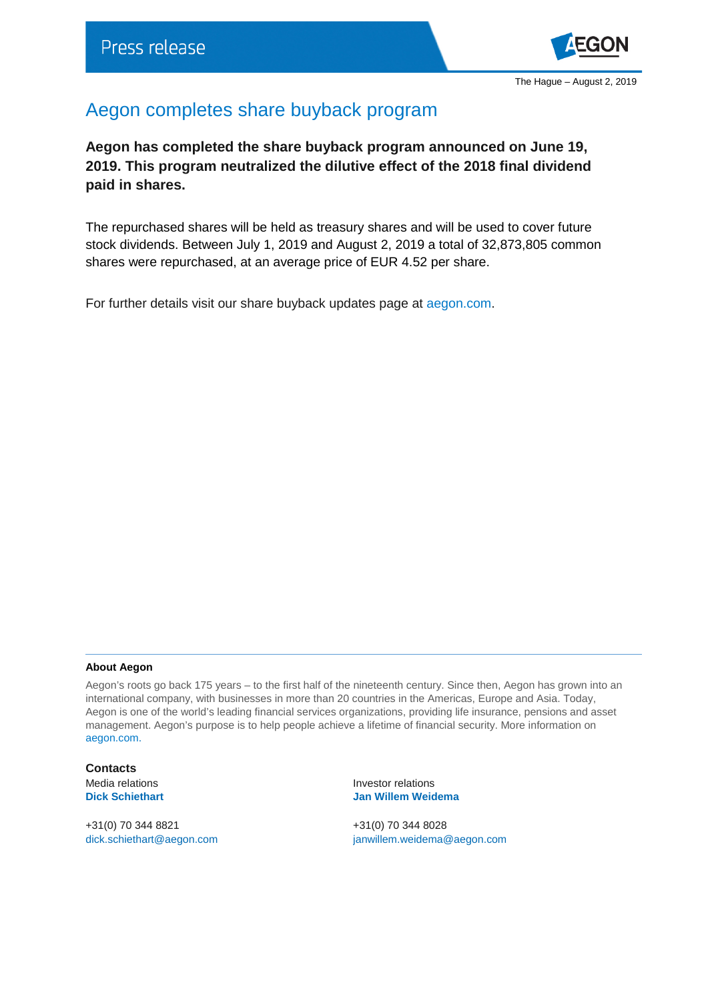

## Aegon completes share buyback program

**Aegon has completed the share buyback program announced on June 19, 2019. This program neutralized the dilutive effect of the 2018 final dividend paid in shares.**

The repurchased shares will be held as treasury shares and will be used to cover future stock dividends. Between July 1, 2019 and August 2, 2019 a total of 32,873,805 common shares were repurchased, at an average price of EUR 4.52 per share.

For further details visit our share buyback updates page at [aegon.com.](https://www.aegon.com/sharebuyback/)

## **About Aegon**

Aegon's roots go back 175 years – to the first half of the nineteenth century. Since then, Aegon has grown into an international company, with businesses in more than 20 countries in the Americas, Europe and Asia. Today, Aegon is one of the world's leading financial services organizations, providing life insurance, pensions and asset management. Aegon's purpose is to help people achieve a lifetime of financial security. More information on [aegon.com.](http://www.aegon.com/home)

**Contacts**

+31(0) 70 344 8821 +31(0) 70 344 8028

Media relations **Investor relations Dick Schiethart Jan Willem Weidema**

[dick.schiethart@aegon.com](mailto:dick.schiethart@aegon.com) [janwillem.weidema@aegon.com](mailto:janwillem.weidema@aegon.com)